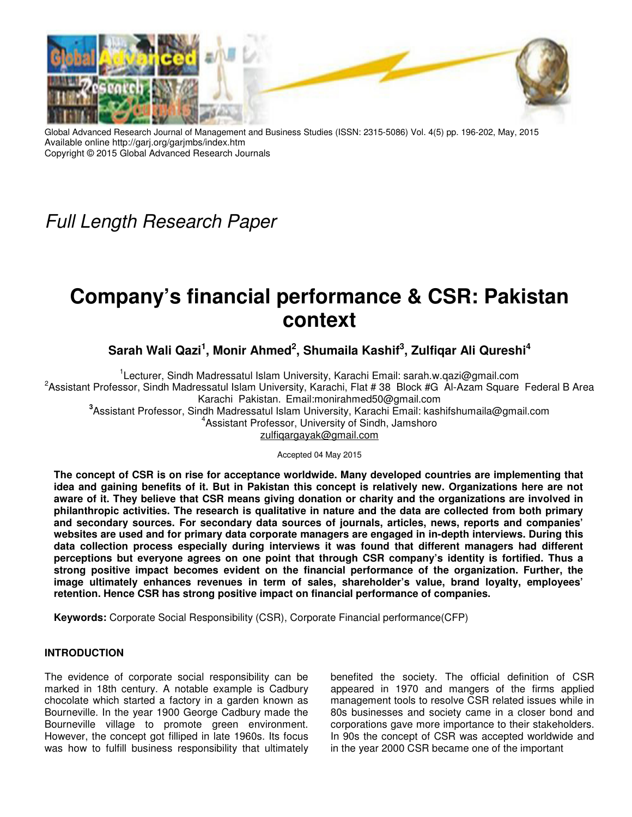

Global Advanced Research Journal of Management and Business Studies (ISSN: 2315-5086) Vol. 4(5) pp. 196-202, May, 2015 Available online http://garj.org/garjmbs/index.htm Copyright © 2015 Global Advanced Research Journals

Full Length Research Paper

# **Company's financial performance & CSR: Pakistan context**

**Sarah Wali Qazi<sup>1</sup> , Monir Ahmed<sup>2</sup> , Shumaila Kashif<sup>3</sup> , Zulfiqar Ali Qureshi<sup>4</sup>**

<sup>1</sup>Lecturer, Sindh Madressatul Islam University, Karachi Email: sarah.w.qazi@gmail.com <sup>2</sup> Assistant Professor, Sindh Madressatul Islam University, Karachi, Flat # 38 Block #G Al-Azam Square Federal B Area Karachi Pakistan. Email:monirahmed50@gmail.com **3** Assistant Professor, Sindh Madressatul Islam University, Karachi Email: kashifshumaila@gmail.com 4 Assistant Professor, University of Sindh, Jamshoro zulfiqargayak@gmail.com

Accepted 04 May 2015

**The concept of CSR is on rise for acceptance worldwide. Many developed countries are implementing that idea and gaining benefits of it. But in Pakistan this concept is relatively new. Organizations here are not aware of it. They believe that CSR means giving donation or charity and the organizations are involved in philanthropic activities. The research is qualitative in nature and the data are collected from both primary and secondary sources. For secondary data sources of journals, articles, news, reports and companies' websites are used and for primary data corporate managers are engaged in in-depth interviews. During this data collection process especially during interviews it was found that different managers had different perceptions but everyone agrees on one point that through CSR company's identity is fortified. Thus a strong positive impact becomes evident on the financial performance of the organization. Further, the image ultimately enhances revenues in term of sales, shareholder's value, brand loyalty, employees' retention. Hence CSR has strong positive impact on financial performance of companies.** 

**Keywords:** Corporate Social Responsibility (CSR), Corporate Financial performance(CFP)

# **INTRODUCTION**

The evidence of corporate social responsibility can be marked in 18th century. A notable example is Cadbury chocolate which started a factory in a garden known as Bourneville. In the year 1900 George Cadbury made the Bourneville village to promote green environment. However, the concept got filliped in late 1960s. Its focus was how to fulfill business responsibility that ultimately

benefited the society. The official definition of CSR appeared in 1970 and mangers of the firms applied management tools to resolve CSR related issues while in 80s businesses and society came in a closer bond and corporations gave more importance to their stakeholders. In 90s the concept of CSR was accepted worldwide and in the year 2000 CSR became one of the important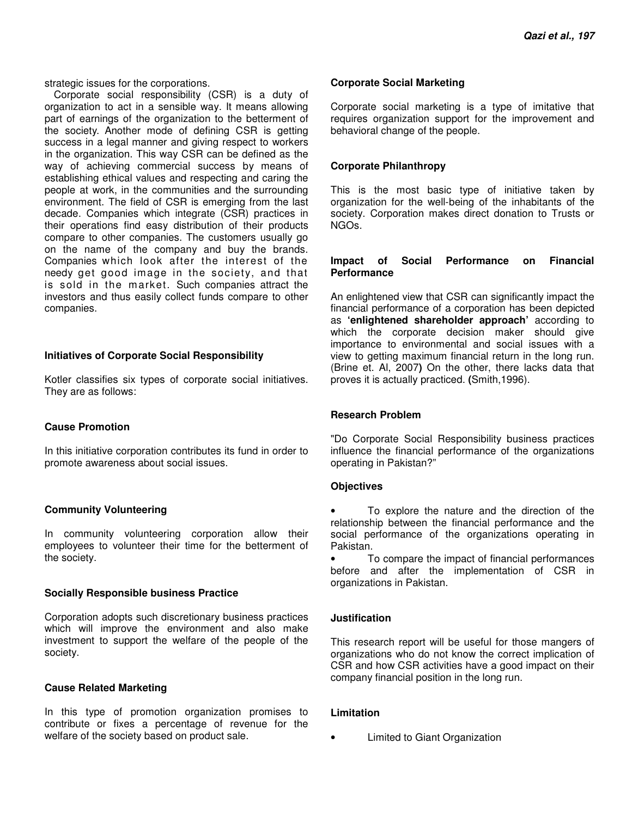strategic issues for the corporations.

Corporate social responsibility (CSR) is a duty of organization to act in a sensible way. It means allowing part of earnings of the organization to the betterment of the society. Another mode of defining CSR is getting success in a legal manner and giving respect to workers in the organization. This way CSR can be defined as the way of achieving commercial success by means of establishing ethical values and respecting and caring the people at work, in the communities and the surrounding environment. The field of CSR is emerging from the last decade. Companies which integrate (CSR) practices in their operations find easy distribution of their products compare to other companies. The customers usually go on the name of the company and buy the brands. Companies which look after the interest of the needy get good image in the society, and that is sold in the market. Such companies attract the investors and thus easily collect funds compare to other companies.

#### **Initiatives of Corporate Social Responsibility**

Kotler classifies six types of corporate social initiatives. They are as follows:

#### **Cause Promotion**

In this initiative corporation contributes its fund in order to promote awareness about social issues.

#### **Community Volunteering**

In community volunteering corporation allow their employees to volunteer their time for the betterment of the society.

#### **Socially Responsible business Practice**

Corporation adopts such discretionary business practices which will improve the environment and also make investment to support the welfare of the people of the society.

# **Cause Related Marketing**

In this type of promotion organization promises to contribute or fixes a percentage of revenue for the welfare of the society based on product sale.

#### **Corporate Social Marketing**

Corporate social marketing is a type of imitative that requires organization support for the improvement and behavioral change of the people.

#### **Corporate Philanthropy**

This is the most basic type of initiative taken by organization for the well-being of the inhabitants of the society. Corporation makes direct donation to Trusts or NGOs.

#### **Impact of Social Performance on Financial Performance**

An enlightened view that CSR can significantly impact the financial performance of a corporation has been depicted as **'enlightened shareholder approach'** according to which the corporate decision maker should give importance to environmental and social issues with a view to getting maximum financial return in the long run. (Brine et. Al, 2007**)** On the other, there lacks data that proves it is actually practiced. **(**Smith,1996).

# **Research Problem**

"Do Corporate Social Responsibility business practices influence the financial performance of the organizations operating in Pakistan?"

#### **Objectives**

To explore the nature and the direction of the relationship between the financial performance and the social performance of the organizations operating in Pakistan.

To compare the impact of financial performances before and after the implementation of CSR in organizations in Pakistan.

# **Justification**

This research report will be useful for those mangers of organizations who do not know the correct implication of CSR and how CSR activities have а good impact on their company financial position in the long run.

# **Limitation**

• Limited to Giant Organization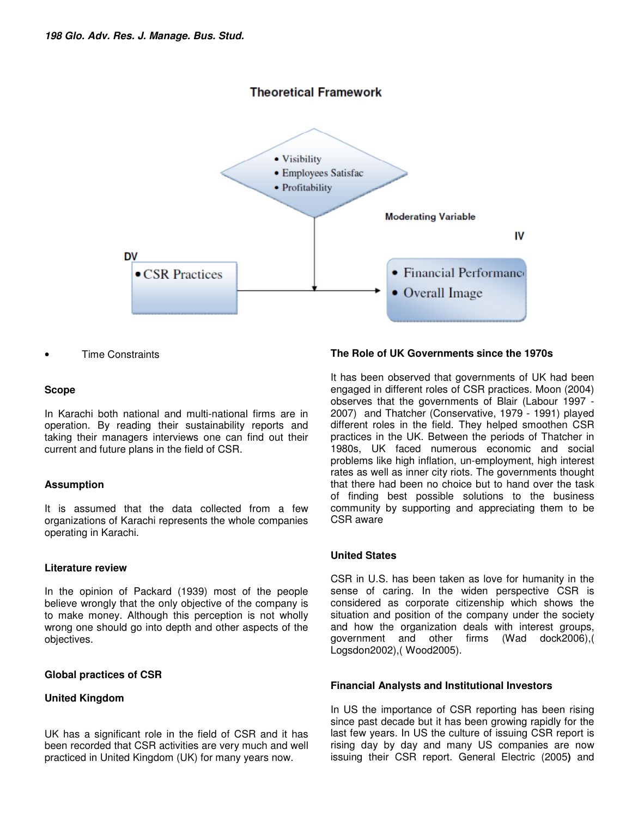# **Theoretical Framework**



• Time Constraints

# **Scope**

In Karachi both national and multi-national firms are in operation. By reading their sustainability reports and taking their managers interviews one can find out their current and future plans in the field of CSR.

# **Assumption**

It is assumed that the data collected from a few organizations of Karachi represents the whole companies operating in Karachi.

#### **Literature review**

In the opinion of Packard (1939) most of the people believe wrongly that the only objective of the company is to make money. Although this perception is not wholly wrong one should go into depth and other aspects of the objectives.

# **Global practices of CSR**

# **United Kingdom**

UK has a significant role in the field of CSR and it has been recorded that CSR activities are very much and well practiced in United Kingdom (UK) for many years now.

#### **The Role of UK Governments since the 1970s**

It has been observed that governments of UK had been engaged in different roles of CSR practices. Moon (2004) observes that the governments of Blair (Labour 1997 - 2007) and Thatcher (Conservative, 1979 - 1991) played different roles in the field. They helped smoothen CSR practices in the UK. Between the periods of Thatcher in 1980s, UK faced numerous economic and social problems like high inflation, un-employment, high interest rates as well as inner city riots. The governments thought that there had been no choice but to hand over the task of finding best possible solutions to the business community by supporting and appreciating them to be CSR aware

# **United States**

CSR in U.S. has been taken as love for humanity in the sense of caring. In the widen perspective CSR is considered as corporate citizenship which shows the situation and position of the company under the society and how the organization deals with interest groups, government and other firms (Wad dock2006),( Logsdon2002),( Wood2005).

#### **Financial Analysts and Institutional Investors**

In US the importance of CSR reporting has been rising since past decade but it has been growing rapidly for the last few years. In US the culture of issuing CSR report is rising day by day and many US companies are now issuing their CSR report. General Electric (2005**)** and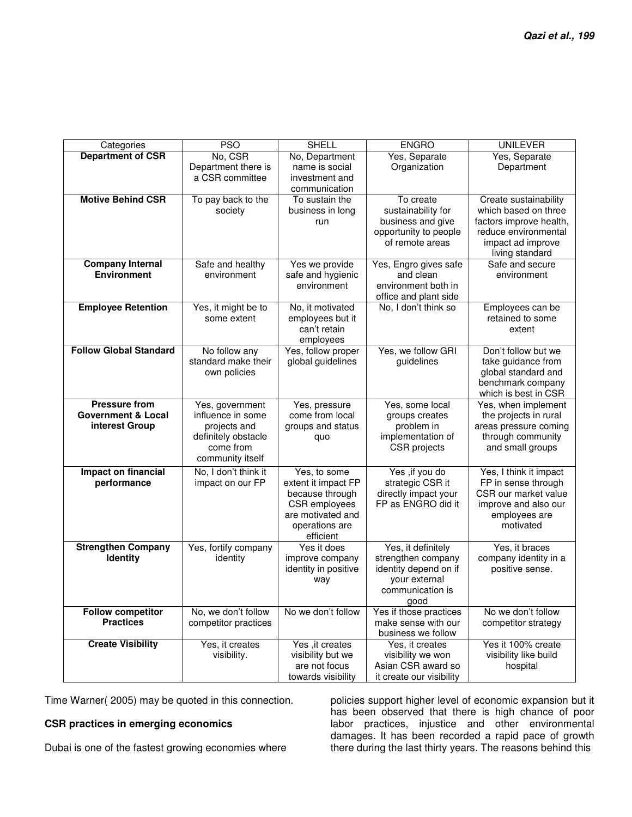| Categories                    | <b>PSO</b>           | <b>SHELL</b>                        | <b>ENGRO</b>                              | <b>UNILEVER</b>                          |
|-------------------------------|----------------------|-------------------------------------|-------------------------------------------|------------------------------------------|
| <b>Department of CSR</b>      | No, CSR              | No, Department                      | Yes, Separate                             | Yes, Separate                            |
|                               | Department there is  | name is social                      | Organization                              | Department                               |
|                               | a CSR committee      | investment and                      |                                           |                                          |
|                               |                      | communication                       |                                           |                                          |
| <b>Motive Behind CSR</b>      | To pay back to the   | To sustain the                      | To create                                 | Create sustainability                    |
|                               | society              | business in long                    | sustainability for                        | which based on three                     |
|                               |                      | run                                 | business and give                         | factors improve health,                  |
|                               |                      |                                     | opportunity to people                     | reduce environmental                     |
|                               |                      |                                     | of remote areas                           | impact ad improve                        |
| <b>Company Internal</b>       | Safe and healthy     | Yes we provide                      | Yes, Engro gives safe                     | living standard<br>Safe and secure       |
| <b>Environment</b>            | environment          | safe and hygienic                   | and clean                                 | environment                              |
|                               |                      | environment                         | environment both in                       |                                          |
|                               |                      |                                     | office and plant side                     |                                          |
| <b>Employee Retention</b>     | Yes, it might be to  | No, it motivated                    | No, I don't think so                      | Employees can be                         |
|                               | some extent          | employees but it                    |                                           | retained to some                         |
|                               |                      | can't retain                        |                                           | extent                                   |
|                               |                      | employees                           |                                           |                                          |
| <b>Follow Global Standard</b> | No follow any        | Yes, follow proper                  | Yes, we follow GRI                        | Don't follow but we                      |
|                               | standard make their  | global guidelines                   | guidelines                                | take guidance from                       |
|                               | own policies         |                                     |                                           | global standard and<br>benchmark company |
|                               |                      |                                     |                                           | which is best in CSR                     |
| <b>Pressure from</b>          | Yes, government      | Yes, pressure                       | Yes, some local                           | Yes, when implement                      |
| <b>Government &amp; Local</b> | influence in some    | come from local                     | groups creates                            | the projects in rural                    |
| interest Group                | projects and         | groups and status                   | problem in                                | areas pressure coming                    |
|                               | definitely obstacle  | quo                                 | implementation of                         | through community                        |
|                               | come from            |                                     | CSR projects                              | and small groups                         |
|                               | community itself     |                                     |                                           |                                          |
| Impact on financial           | No, I don't think it | Yes, to some                        | Yes , if you do                           | Yes, I think it impact                   |
| performance                   | impact on our FP     | extent it impact FP                 | strategic CSR it                          | FP in sense through                      |
|                               |                      | because through                     | directly impact your                      | CSR our market value                     |
|                               |                      | CSR employees                       | FP as ENGRO did it                        | improve and also our                     |
|                               |                      | are motivated and<br>operations are |                                           | employees are<br>motivated               |
|                               |                      | efficient                           |                                           |                                          |
| <b>Strengthen Company</b>     | Yes, fortify company | Yes it does                         | Yes, it definitely                        | Yes, it braces                           |
| Identity                      | identity             | improve company                     | strengthen company                        | company identity in a                    |
|                               |                      | identity in positive                | identity depend on if                     | positive sense.                          |
|                               |                      | way                                 | your external                             |                                          |
|                               |                      |                                     | communication is                          |                                          |
|                               |                      |                                     | good                                      |                                          |
| <b>Follow competitor</b>      | No, we don't follow  | No we don't follow                  | Yes if those practices                    | No we don't follow                       |
| <b>Practices</b>              | competitor practices |                                     | make sense with our<br>business we follow | competitor strategy                      |
| <b>Create Visibility</b>      | Yes, it creates      | Yes , it creates                    | Yes, it creates                           | Yes it 100% create                       |
|                               | visibility.          | visibility but we                   | visibility we won                         | visibility like build                    |
|                               |                      | are not focus                       | Asian CSR award so                        | hospital                                 |
|                               |                      | towards visibility                  | it create our visibility                  |                                          |

Time Warner( 2005) may be quoted in this connection.

# **CSR practices in emerging economics**

Dubai is one of the fastest growing economies where

policies support higher level of economic expansion but it has been observed that there is high chance of poor labor practices, injustice and other environmental damages. It has been recorded a rapid pace of growth there during the last thirty years. The reasons behind this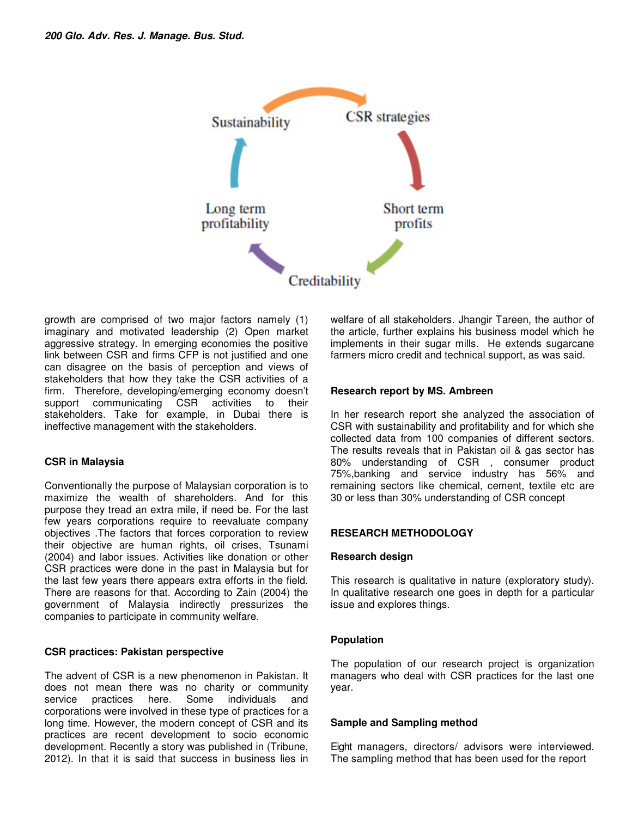

growth are comprised of two major factors namely (1) imaginary and motivated leadership (2) Open market aggressive strategy. In emerging economies the positive link between CSR and firms CFP is not justified and one can disagree on the basis of perception and views of stakeholders that how they take the CSR activities of a firm. Therefore, developing/emerging economy doesn't support communicating CSR activities to their stakeholders. Take for example, in Dubai there is ineffective management with the stakeholders.

# **CSR in Malaysia**

Conventionally the purpose of Malaysian corporation is to maximize the wealth of shareholders. And for this purpose they tread an extra mile, if need be. For the last few years corporations require to reevaluate company objectives .The factors that forces corporation to review their objective are human rights, oil crises, Tsunami (2004) and labor issues. Activities like donation or other CSR practices were done in the past in Malaysia but for the last few years there appears extra efforts in the field. There are reasons for that. According to Zain (2004) the government of Malaysia indirectly pressurizes the companies to participate in community welfare.

# **CSR practices: Pakistan perspective**

The advent of CSR is a new phenomenon in Pakistan. It does not mean there was no charity or community<br>service practices here. Some individuals and service practices here. Some individuals and corporations were involved in these type of practices for a long time. However, the modern concept of CSR and its practices are recent development to socio economic development. Recently a story was published in (Tribune, 2012). In that it is said that success in business lies in welfare of all stakeholders. Jhangir Tareen, the author of the article, further explains his business model which he implements in their sugar mills. He extends sugarcane farmers micro credit and technical support, as was said.

# **Research report by MS. Ambreen**

In her research report she analyzed the association of CSR with sustainability and profitability and for which she collected data from 100 companies of different sectors. The results reveals that in Pakistan oil & gas sector has 80% understanding of CSR , consumer product 75%,banking and service industry has 56% and remaining sectors like chemical, cement, textile etc are 30 or less than 30% understanding of CSR concept

# **RESEARCH METHODOLOGY**

# **Research design**

This research is qualitative in nature (exploratory study). In qualitative research one goes in depth for a particular issue and explores things.

# **Population**

The population of our research project is organization managers who deal with CSR practices for the last one year.

# **Sample and Sampling method**

Eight managers, directors/ advisors were interviewed. The sampling method that has been used for the report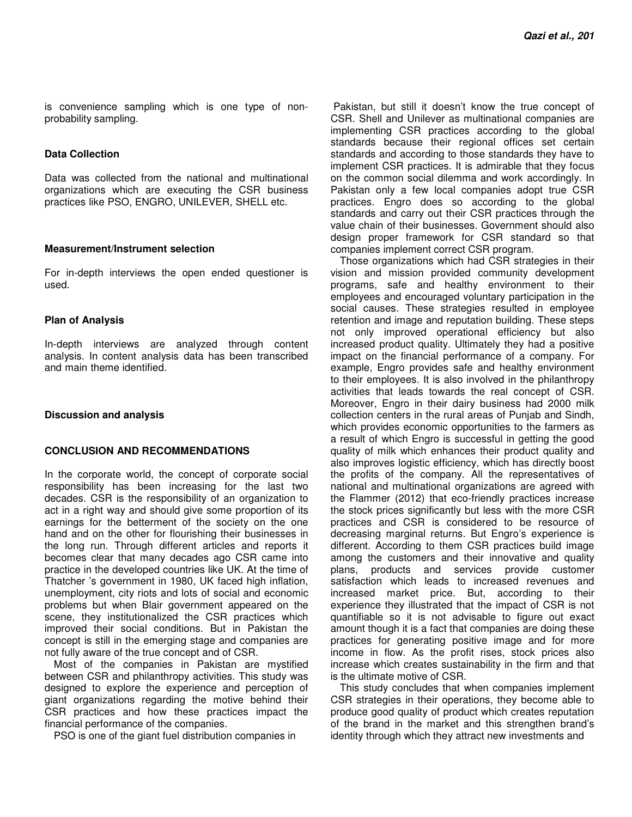is convenience sampling which is one type of nonprobability sampling.

# **Data Collection**

Data was collected from the national and multinational organizations which are executing the CSR business practices like PSO, ENGRO, UNILEVER, SHELL etc.

#### **Measurement/Instrument selection**

For in-depth interviews the open ended questioner is used.

#### **Plan of Analysis**

In-depth interviews are analyzed through content analysis. In content analysis data has been transcribed and main theme identified.

# **Discussion and analysis**

# **CONCLUSION AND RECOMMENDATIONS**

In the corporate world, the concept of corporate social responsibility has been increasing for the last two decades. CSR is the responsibility of an organization to act in a right way and should give some proportion of its earnings for the betterment of the society on the one hand and on the other for flourishing their businesses in the long run. Through different articles and reports it becomes clear that many decades ago CSR came into practice in the developed countries like UK. At the time of Thatcher 's government in 1980, UK faced high inflation, unemployment, city riots and lots of social and economic problems but when Blair government appeared on the scene, they institutionalized the CSR practices which improved their social conditions. But in Pakistan the concept is still in the emerging stage and companies are not fully aware of the true concept and of CSR.

Most of the companies in Pakistan are mystified between CSR and philanthropy activities. This study was designed to explore the experience and perception of giant organizations regarding the motive behind their CSR practices and how these practices impact the financial performance of the companies.

PSO is one of the giant fuel distribution companies in

 Pakistan, but still it doesn't know the true concept of CSR. Shell and Unilever as multinational companies are implementing CSR practices according to the global standards because their regional offices set certain standards and according to those standards they have to implement CSR practices. It is admirable that they focus on the common social dilemma and work accordingly. In Pakistan only a few local companies adopt true CSR practices. Engro does so according to the global standards and carry out their CSR practices through the value chain of their businesses. Government should also design proper framework for CSR standard so that companies implement correct CSR program.

Those organizations which had CSR strategies in their vision and mission provided community development programs, safe and healthy environment to their employees and encouraged voluntary participation in the social causes. These strategies resulted in employee retention and image and reputation building. These steps not only improved operational efficiency but also increased product quality. Ultimately they had a positive impact on the financial performance of a company. For example, Engro provides safe and healthy environment to their employees. It is also involved in the philanthropy activities that leads towards the real concept of CSR. Moreover, Engro in their dairy business had 2000 milk collection centers in the rural areas of Punjab and Sindh, which provides economic opportunities to the farmers as a result of which Engro is successful in getting the good quality of milk which enhances their product quality and also improves logistic efficiency, which has directly boost the profits of the company. All the representatives of national and multinational organizations are agreed with the Flammer (2012) that eco-friendly practices increase the stock prices significantly but less with the more CSR practices and CSR is considered to be resource of decreasing marginal returns. But Engro's experience is different. According to them CSR practices build image among the customers and their innovative and quality plans, products and services provide customer satisfaction which leads to increased revenues and increased market price. But, according to their experience they illustrated that the impact of CSR is not quantifiable so it is not advisable to figure out exact amount though it is a fact that companies are doing these practices for generating positive image and for more income in flow. As the profit rises, stock prices also increase which creates sustainability in the firm and that is the ultimate motive of CSR.

This study concludes that when companies implement CSR strategies in their operations, they become able to produce good quality of product which creates reputation of the brand in the market and this strengthen brand's identity through which they attract new investments and